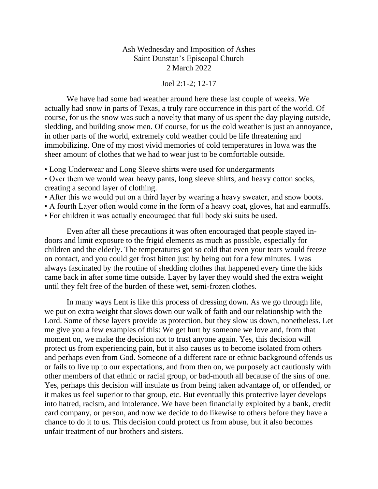Ash Wednesday and Imposition of Ashes Saint Dunstan's Episcopal Church 2 March 2022

## Joel 2:1-2; 12-17

We have had some bad weather around here these last couple of weeks. We actually had snow in parts of Texas, a truly rare occurrence in this part of the world. Of course, for us the snow was such a novelty that many of us spent the day playing outside, sledding, and building snow men. Of course, for us the cold weather is just an annoyance, in other parts of the world, extremely cold weather could be life threatening and immobilizing. One of my most vivid memories of cold temperatures in Iowa was the sheer amount of clothes that we had to wear just to be comfortable outside.

• Long Underwear and Long Sleeve shirts were used for undergarments

• Over them we would wear heavy pants, long sleeve shirts, and heavy cotton socks, creating a second layer of clothing.

- After this we would put on a third layer by wearing a heavy sweater, and snow boots.
- A fourth Layer often would come in the form of a heavy coat, gloves, hat and earmuffs.

• For children it was actually encouraged that full body ski suits be used.

Even after all these precautions it was often encouraged that people stayed indoors and limit exposure to the frigid elements as much as possible, especially for children and the elderly. The temperatures got so cold that even your tears would freeze on contact, and you could get frost bitten just by being out for a few minutes. I was always fascinated by the routine of shedding clothes that happened every time the kids came back in after some time outside. Layer by layer they would shed the extra weight until they felt free of the burden of these wet, semi-frozen clothes.

In many ways Lent is like this process of dressing down. As we go through life, we put on extra weight that slows down our walk of faith and our relationship with the Lord. Some of these layers provide us protection, but they slow us down, nonetheless. Let me give you a few examples of this: We get hurt by someone we love and, from that moment on, we make the decision not to trust anyone again. Yes, this decision will protect us from experiencing pain, but it also causes us to become isolated from others and perhaps even from God. Someone of a different race or ethnic background offends us or fails to live up to our expectations, and from then on, we purposely act cautiously with other members of that ethnic or racial group, or bad-mouth all because of the sins of one. Yes, perhaps this decision will insulate us from being taken advantage of, or offended, or it makes us feel superior to that group, etc. But eventually this protective layer develops into hatred, racism, and intolerance. We have been financially exploited by a bank, credit card company, or person, and now we decide to do likewise to others before they have a chance to do it to us. This decision could protect us from abuse, but it also becomes unfair treatment of our brothers and sisters.